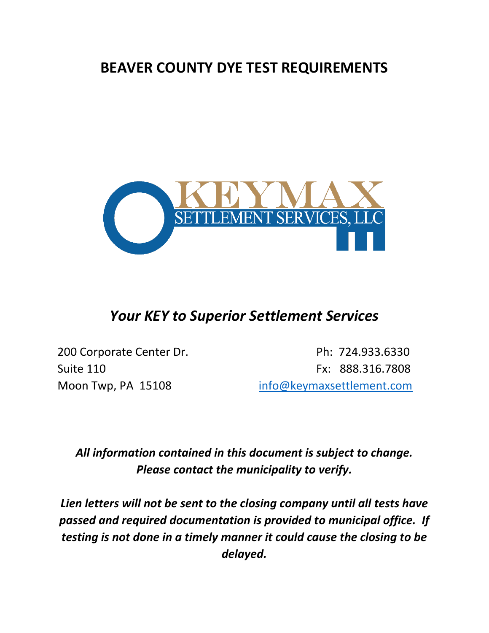## **BEAVER COUNTY DYE TEST REQUIREMENTS**



## *Your KEY to Superior Settlement Services*

200 Corporate Center Dr. **Ph: 724.933.6330** Suite 110 **Fx: 888.316.7808** Moon Twp, PA 15108 [info@keymaxsettlement.com](mailto:info@keymaxsettlement.com)

*All information contained in this document is subject to change. Please contact the municipality to verify.*

*Lien letters will not be sent to the closing company until all tests have passed and required documentation is provided to municipal office. If testing is not done in a timely manner it could cause the closing to be delayed.*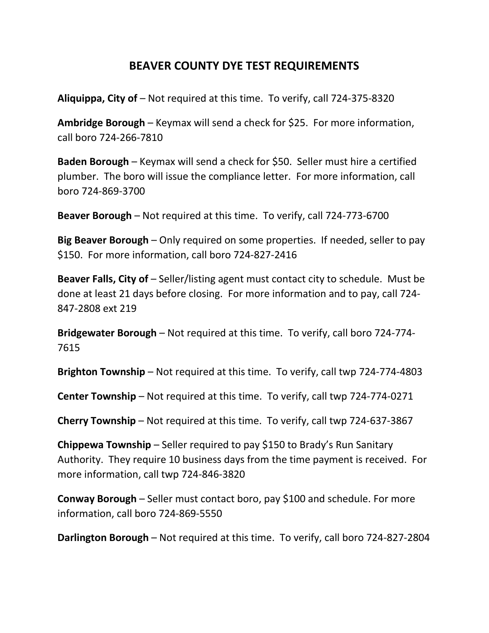## **BEAVER COUNTY DYE TEST REQUIREMENTS**

**Aliquippa, City of** – Not required at this time. To verify, call 724-375-8320

**Ambridge Borough** – Keymax will send a check for \$25. For more information, call boro 724-266-7810

**Baden Borough** – Keymax will send a check for \$50. Seller must hire a certified plumber. The boro will issue the compliance letter. For more information, call boro 724-869-3700

**Beaver Borough** – Not required at this time. To verify, call 724-773-6700

**Big Beaver Borough** – Only required on some properties. If needed, seller to pay \$150. For more information, call boro 724-827-2416

**Beaver Falls, City of** – Seller/listing agent must contact city to schedule. Must be done at least 21 days before closing. For more information and to pay, call 724- 847-2808 ext 219

**Bridgewater Borough** – Not required at this time. To verify, call boro 724-774- 7615

**Brighton Township** – Not required at this time. To verify, call twp 724-774-4803

**Center Township** – Not required at this time. To verify, call twp 724-774-0271

**Cherry Township** – Not required at this time. To verify, call twp 724-637-3867

**Chippewa Township** – Seller required to pay \$150 to Brady's Run Sanitary Authority. They require 10 business days from the time payment is received. For more information, call twp 724-846-3820

**Conway Borough** – Seller must contact boro, pay \$100 and schedule. For more information, call boro 724-869-5550

**Darlington Borough** – Not required at this time. To verify, call boro 724-827-2804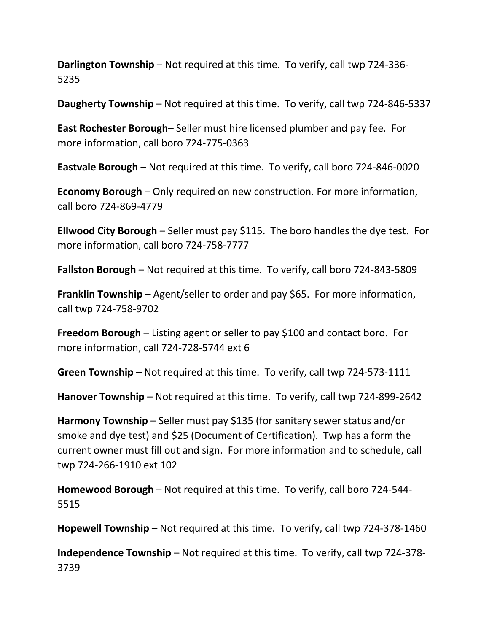**Darlington Township** – Not required at this time. To verify, call twp 724-336- 5235

**Daugherty Township** – Not required at this time. To verify, call twp 724-846-5337

**East Rochester Borough**– Seller must hire licensed plumber and pay fee. For more information, call boro 724-775-0363

**Eastvale Borough** – Not required at this time. To verify, call boro 724-846-0020

**Economy Borough** – Only required on new construction. For more information, call boro 724-869-4779

**Ellwood City Borough** – Seller must pay \$115. The boro handles the dye test. For more information, call boro 724-758-7777

**Fallston Borough** – Not required at this time. To verify, call boro 724-843-5809

**Franklin Township** – Agent/seller to order and pay \$65. For more information, call twp 724-758-9702

**Freedom Borough** – Listing agent or seller to pay \$100 and contact boro. For more information, call 724-728-5744 ext 6

**Green Township** – Not required at this time. To verify, call twp 724-573-1111

**Hanover Township** – Not required at this time. To verify, call twp 724-899-2642

**Harmony Township** – Seller must pay \$135 (for sanitary sewer status and/or smoke and dye test) and \$25 (Document of Certification). Twp has a form the current owner must fill out and sign. For more information and to schedule, call twp 724-266-1910 ext 102

**Homewood Borough** – Not required at this time. To verify, call boro 724-544- 5515

**Hopewell Township** – Not required at this time. To verify, call twp 724-378-1460

**Independence Township** – Not required at this time. To verify, call twp 724-378- 3739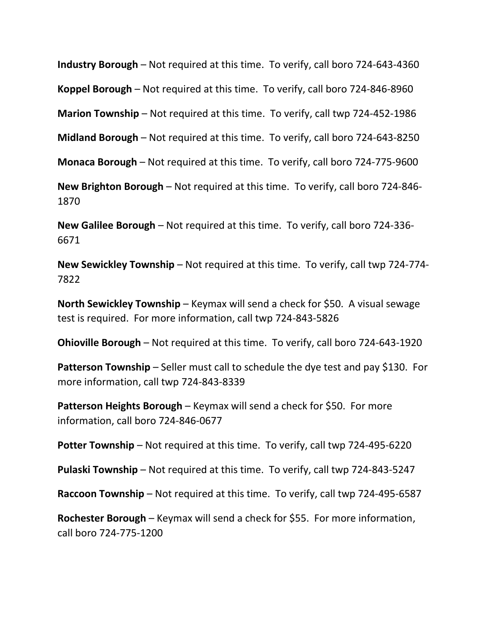**Industry Borough** – Not required at this time. To verify, call boro 724-643-4360

**Koppel Borough** – Not required at this time. To verify, call boro 724-846-8960

**Marion Township** – Not required at this time. To verify, call twp 724-452-1986

**Midland Borough** – Not required at this time. To verify, call boro 724-643-8250

**Monaca Borough** – Not required at this time. To verify, call boro 724-775-9600

**New Brighton Borough** – Not required at this time. To verify, call boro 724-846- 1870

**New Galilee Borough** – Not required at this time. To verify, call boro 724-336- 6671

**New Sewickley Township** – Not required at this time. To verify, call twp 724-774- 7822

**North Sewickley Township** – Keymax will send a check for \$50. A visual sewage test is required. For more information, call twp 724-843-5826

**Ohioville Borough** – Not required at this time. To verify, call boro 724-643-1920

**Patterson Township** – Seller must call to schedule the dye test and pay \$130. For more information, call twp 724-843-8339

**Patterson Heights Borough** – Keymax will send a check for \$50. For more information, call boro 724-846-0677

**Potter Township** – Not required at this time. To verify, call twp 724-495-6220

**Pulaski Township** – Not required at this time. To verify, call twp 724-843-5247

**Raccoon Township** – Not required at this time. To verify, call twp 724-495-6587

**Rochester Borough** – Keymax will send a check for \$55. For more information, call boro 724-775-1200